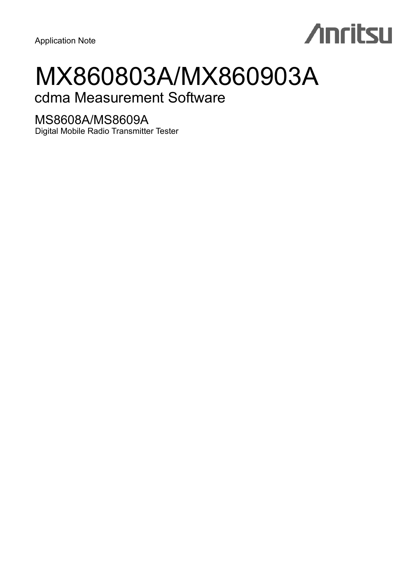Application Note

# **Anritsu**

# MX860803A/MX860903A

# cdma Measurement Software

# MS8608A/MS8609A

Digital Mobile Radio Transmitter Tester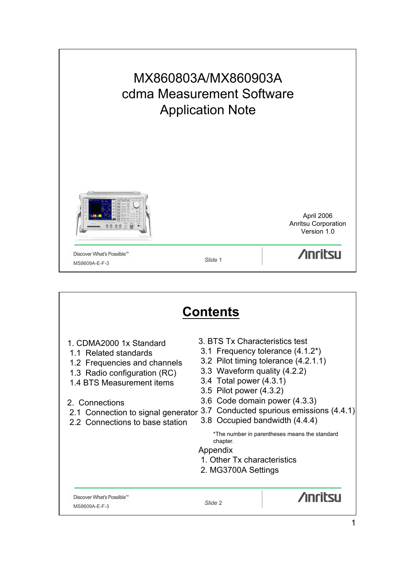

|                                                                                                                                                                                                                                          | <b>Contents</b>                                                                                                                                                                                                                                                                                                                                                                                                         |
|------------------------------------------------------------------------------------------------------------------------------------------------------------------------------------------------------------------------------------------|-------------------------------------------------------------------------------------------------------------------------------------------------------------------------------------------------------------------------------------------------------------------------------------------------------------------------------------------------------------------------------------------------------------------------|
| 1. CDMA2000 1x Standard<br>1.1 Related standards<br>1.2 Frequencies and channels<br>1.3 Radio configuration (RC)<br>1.4 BTS Measurement items<br>2. Connections<br>2.1 Connection to signal generator<br>2.2 Connections to base station | 3. BTS Tx Characteristics test<br>3.1 Frequency tolerance (4.1.2*)<br>3.2 Pilot timing tolerance (4.2.1.1)<br>3.3 Waveform quality (4.2.2)<br>3.4 Total power (4.3.1)<br>3.5 Pilot power (4.3.2)<br>3.6 Code domain power (4.3.3)<br>3.7 Conducted spurious emissions (4.4.1)<br>3.8 Occupied bandwidth (4.4.4)<br>*The number in parentheses means the standard<br>chapter.<br>Appendix<br>1. Other Tx characteristics |
|                                                                                                                                                                                                                                          | 2. MG3700A Settings                                                                                                                                                                                                                                                                                                                                                                                                     |
| Discover What's Possible™<br>MS8609A-E-F-3                                                                                                                                                                                               | <b>Anritsu</b><br>Slide 2                                                                                                                                                                                                                                                                                                                                                                                               |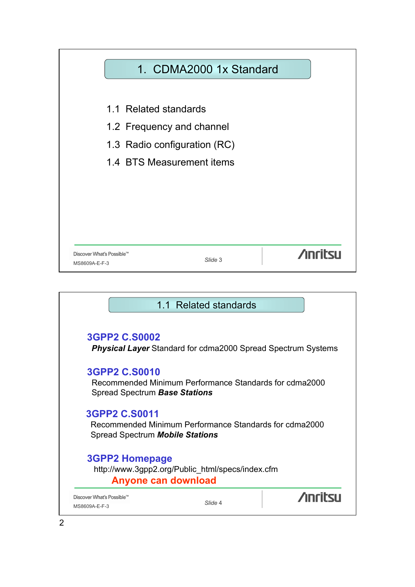

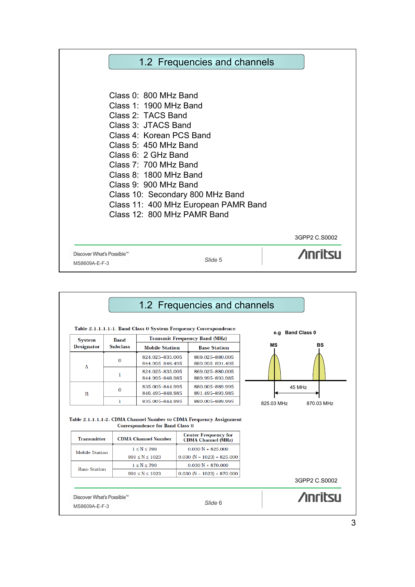

|                       |                 |                                                                      | Table 2.1.1.1.1-1. Band Class 0 System Frequency Correspondence                                    |            |                            |
|-----------------------|-----------------|----------------------------------------------------------------------|----------------------------------------------------------------------------------------------------|------------|----------------------------|
| <b>System</b>         | <b>Band</b>     |                                                                      | <b>Transmit Frequency Band (MHz)</b>                                                               |            | <b>Band Class 0</b><br>e.a |
| <b>Designator</b>     | <b>Subclass</b> | <b>Mobile Station</b>                                                | <b>Base Station</b>                                                                                | <b>MS</b>  | BS                         |
| A                     | $\Omega$        | 824.025-835.005<br>844.995-846.495                                   | 869.025-880.005<br>889.995-891.495                                                                 |            |                            |
|                       | 1               | 824.025-835.005<br>844.995-848.985                                   | 869.025-880.005<br>889.995-893.985                                                                 |            |                            |
| B                     | 0               | 835.005-844.995                                                      | 880.005-889.995                                                                                    |            | 45 MHz                     |
|                       |                 | 846.495-848.985                                                      | 891.495-893.985                                                                                    |            |                            |
|                       | $\mathbf{1}$    | 835.005-844.995                                                      | 880.005-889.995                                                                                    | 825.03 MHz | 870.03 MHz                 |
| <b>Transmitter</b>    |                 | <b>Correspondence for Band Class 0</b><br><b>CDMA Channel Number</b> | Table 2.1.1.1.1-2. CDMA Channel Number to CDMA Frequency Assignment<br><b>Center Frequency for</b> |            |                            |
|                       |                 |                                                                      | <b>CDMA</b> Channel (MHz)                                                                          |            |                            |
| <b>Mobile Station</b> |                 | $1 \le N \le 799$                                                    | $0.030 N + 825.000$                                                                                |            |                            |
|                       |                 | $991 \le N \le 1023$<br>$1 \le N \le 799$                            | $0.030$ (N - 1023) + 825.000<br>$0.030 N + 870.000$                                                |            |                            |
| <b>Base Station</b>   |                 | $991 \le N \le 1023$                                                 | $0.030$ (N - 1023) + 870.000                                                                       |            |                            |
|                       |                 |                                                                      |                                                                                                    |            | 3GPP2 C.S0002              |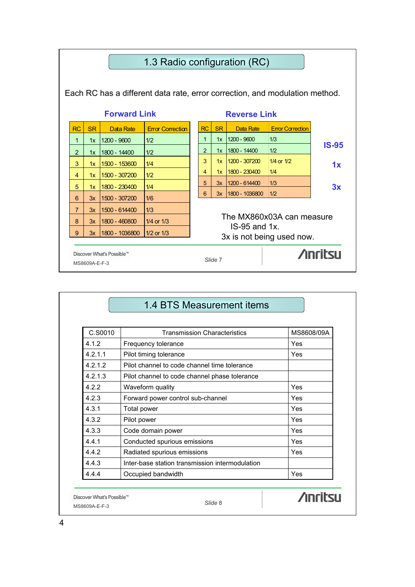

| C.S0010 | <b>Transmission Characteristics</b>             | MS8608/09A |
|---------|-------------------------------------------------|------------|
| 4.1.2   | Frequency tolerance                             | Yes        |
| 4.2.1.1 | Pilot timing tolerance                          | Yes        |
| 4.2.1.2 | Pilot channel to code channel time tolerance    |            |
| 4.2.1.3 | Pilot channel to code channel phase tolerance   |            |
| 422     | Waveform quality                                | Yes        |
| 4.2.3   | Forward power control sub-channel               | Yes        |
| 4.3.1   | <b>Total power</b>                              | Yes        |
| 4.3.2   | Pilot power                                     | Yes        |
| 4.3.3   | Code domain power                               | Yes        |
| 4.4.1   | Conducted spurious emissions                    | Yes        |
| 4.4.2   | Radiated spurious emissions                     | Yes        |
| 4.4.3   | Inter-base station transmission intermodulation |            |
| 4.4.4   | Occupied bandwidth                              | Yes        |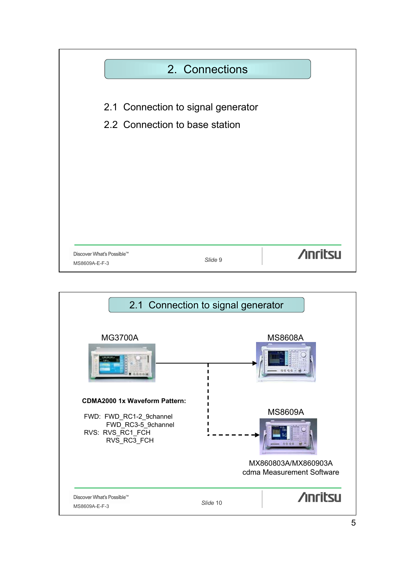

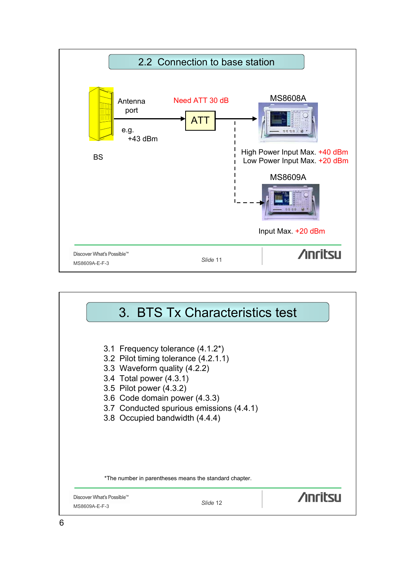

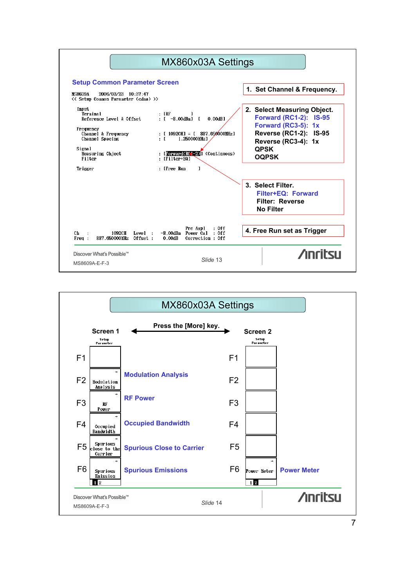

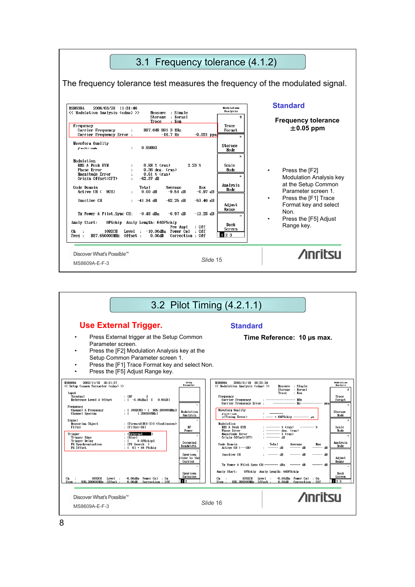

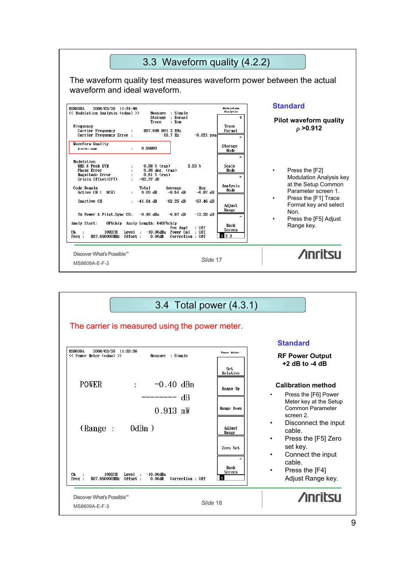

| 3.4 Total power (4.3.1)                                                                                     |                 |                                                                                 |
|-------------------------------------------------------------------------------------------------------------|-----------------|---------------------------------------------------------------------------------|
| The carrier is measured using the power meter.                                                              |                 |                                                                                 |
|                                                                                                             |                 | <b>Standard</b>                                                                 |
| <b>MS8609A</b><br>2006/03/28 11:33:30<br><< Power Meter (cdma) >><br>Measure : Single                       | Power Meter     | <b>RF Power Output</b>                                                          |
|                                                                                                             | Set<br>Relative | $+2$ dB to -4 dB                                                                |
| <b>POWER</b><br>$-0.40$ dBm<br>$\ddot{\cdot}$                                                               | Range Up        | <b>Calibration method</b>                                                       |
| dB                                                                                                          |                 | Press the [F6] Power<br>Meter key at the Setup                                  |
| $0.913$ mW                                                                                                  | Range Down      | Common Parameter<br>screen 2.                                                   |
| $0dBm$ )<br>(Range:                                                                                         | Adjust<br>Range | Disconnect the input<br>$\bullet$<br>cable.<br>Press the [F5] Zero<br>$\bullet$ |
|                                                                                                             | Zero Set        | set key.<br>Connect the input<br>$\bullet$                                      |
| $-10.00$ dRm<br>1092CH<br>Сh<br>Level :<br>887.650000MHz<br>Correction : Off<br>Freq:<br>Offset :<br>0.00dB | Back<br>Screen  | cable.<br>Press the [F4]<br>Adjust Range key.                                   |
| Discover What's Possible™<br>MS8609A-E-F-3                                                                  | Slide 18        | <b>Anritsu</b>                                                                  |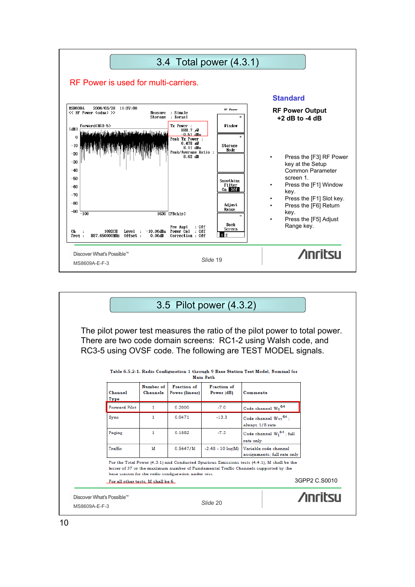

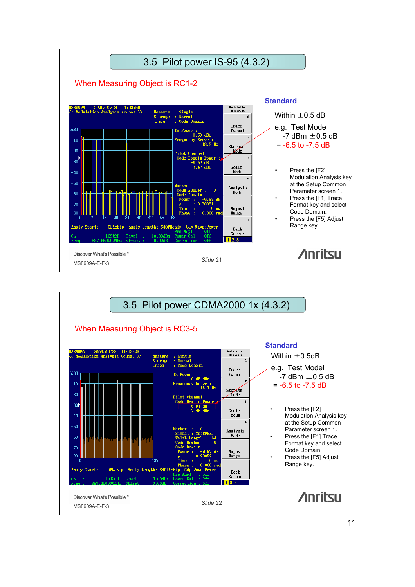

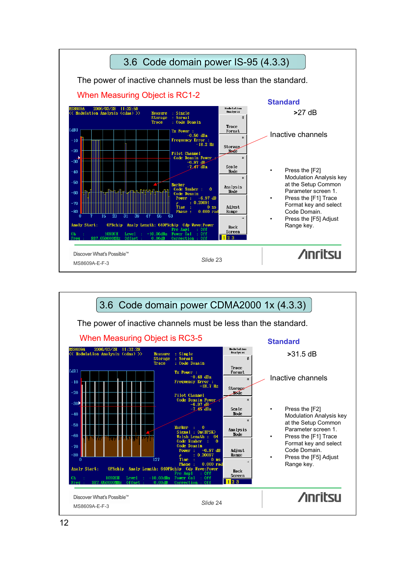

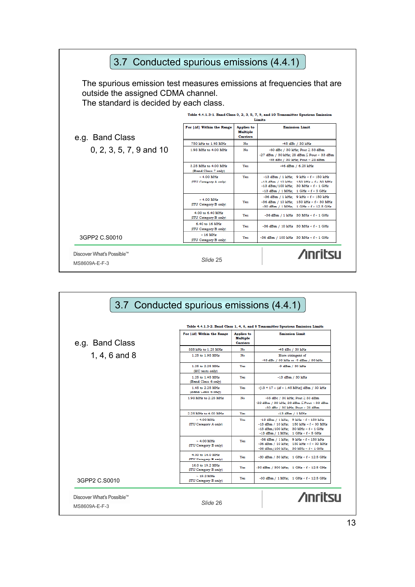| The spurious emission test measures emissions at frequencies that are<br>outside the assigned CDMA channel.<br>The standard is decided by each class. |                                                                                              |                                                         |                                                                                                                                                                            |  |  |
|-------------------------------------------------------------------------------------------------------------------------------------------------------|----------------------------------------------------------------------------------------------|---------------------------------------------------------|----------------------------------------------------------------------------------------------------------------------------------------------------------------------------|--|--|
|                                                                                                                                                       | Table 4.4.1.3-1. Band Class 0, 2, 3, 5, 7, 9, and 10 Transmitter Spurious Emission<br>Limits |                                                         |                                                                                                                                                                            |  |  |
| e.g. Band Class                                                                                                                                       | For  Af  Within the Range                                                                    | <b>Applies</b> to<br><b>Multiple</b><br><b>Carriers</b> | <b>Emission Limit</b>                                                                                                                                                      |  |  |
|                                                                                                                                                       | 750 kHz to 1.98 MHz                                                                          | No                                                      | -45 dBc / 30 kHz                                                                                                                                                           |  |  |
| 0, 2, 3, 5, 7, 9 and 10                                                                                                                               | 1.98 MHz to 4.00 MHz                                                                         | No                                                      | -60 dBc / 30 kHz; Pout $\geq$ 33 dBm<br>-27 dBm / 30 kHz; 28 dBm $\leq$ Pout < 33 dBm<br>-55 dBc / 30 kHz; Pout < 28 dBm                                                   |  |  |
|                                                                                                                                                       | 3.25 MHz to 4.00 MHz<br>(Band Class 7 only)                                                  | Yes                                                     | -46 dBm / 6.25 kHz                                                                                                                                                         |  |  |
|                                                                                                                                                       | $> 4.00$ MHz<br>(ITU Category A only)                                                        | Yes                                                     | $-13$ dBm / 1 kHz: 9 kHz < $f < 150$ kHz<br>$-13$ dBm / 10 kHz; 150 kHz < $f < 30$ MHz<br>$-13 dBm/100 kHz$ ; 30 MHz < f < 1 GHz<br>$-13$ dBm / 1 MHz; 1 GHz < $f < 5$ GHz |  |  |
|                                                                                                                                                       | $> 4.00$ MHz<br>(ITU Category B only)                                                        | Yes                                                     | -36 dBm / 1 kHz; 9 kHz < f < 150 kHz<br>$-36$ dBm / 10 kHz: 150 kHz < $f < 30$ MHz<br>-30 dBm / 1 MHz; 1 GHz < f < 12.5 GHz                                                |  |  |
|                                                                                                                                                       | 4.00 to 6.40 MHz<br>(ITU Category B only)                                                    | Yes                                                     | $-36 dBm / 1 kHz$ 30 MHz < $f < 1 GHz$                                                                                                                                     |  |  |
|                                                                                                                                                       | 6.40 to 16 MHz<br>(ITU Category B only)                                                      | Yes                                                     | -36 dBm / 10 kHz 30 MHz < f < 1 GHz                                                                                                                                        |  |  |
| 3GPP2 C.S0010                                                                                                                                         | $>16$ MHz<br>(ITU Category B only)                                                           | Yes                                                     | -36 dBm / 100 kHz 30 MHz < f < 1 GHz                                                                                                                                       |  |  |
| Discover What's Possible™<br>MS8609A-E-F-3                                                                                                            | Slide 25                                                                                     |                                                         | <b>Anritsu</b>                                                                                                                                                             |  |  |

|                 |                                           |                                                         | Table 4.4.1.3-2. Band Class 1, 4, 6, and 8 Transmitter Spurious Emission Limits                                                                                               |
|-----------------|-------------------------------------------|---------------------------------------------------------|-------------------------------------------------------------------------------------------------------------------------------------------------------------------------------|
| e.g. Band Class | For  Af  Within the Range                 | <b>Applies</b> to<br><b>Multiple</b><br><b>Carriers</b> | <b>Emission Limit</b>                                                                                                                                                         |
|                 | 885 kHz to 1.25 MHz                       | No                                                      | -45 dBc / 30 kHz                                                                                                                                                              |
| 1, 4, 6 and 8   | 1.25 to 1.98 MHz                          | No                                                      | More stringent of<br>45 dBc / 30 kHz or -9 dBm / 30 kHz                                                                                                                       |
|                 | 1.25 to 2.25 MHz<br>(MC tests only)       | Yes                                                     | -9 dBm / 30 kHz                                                                                                                                                               |
|                 | 1.25 to 1.45 MHz<br>(Band Class 6 only)   | Yes                                                     | $-13$ dBm $/$ 30 kHz                                                                                                                                                          |
|                 | 1.45 to 2.25 MHz<br>(Band Class 6 only)   | Yes                                                     | $-[13 + 17 \times (\Delta f - 1.45 \text{ MHz})]$ dBm / 30 kHz                                                                                                                |
|                 | 1.98 MHz to 2.25 MHz                      | No                                                      | -55 dBc / 30 kHz; Pout $\geq$ 33 dBm<br>-22 dBm / 30 kHz; 28 dBm $\leq$ Pout < 33 dBm<br>-50 dBc / 30 kHz; Pout < 28 dBm                                                      |
|                 | 2.25 MHz to 4.00 MHz                      | Yes                                                     | $-13$ dBm $/ 1$ MHz                                                                                                                                                           |
|                 | $> 4.00$ MHz<br>(ITU Category A only)     | Yes                                                     | -13 dBm / 1 kHz; 9 kHz < f < 150 kHz<br>$-13$ dBm / $10$ kHz: $150$ kHz < $f$ < $30$ MHz<br>$-13$ dBm/100 kHz; 30 MHz < $f < 1$ GHz<br>$-13$ dBm / 1 MHz; 1 GHz < $f < 5$ GHz |
|                 | $> 4.00$ MHz<br>(ITU Category B only)     | Yes                                                     | -36 dBm / 1 kHz: $9$ kHz < $f$ < 150 kHz<br>$-36$ dBm / 10 kHz; 150 kHz < $f < 30$ MHz<br>-36 dBm/100 kHz; 30 MHz < f < 1 GHz                                                 |
|                 | 4.00 to 16.0 MHz<br>(ITU Category B only) | Yes                                                     | -30 dBm / 30 kHz; 1 GHz < f < 12.5 GHz                                                                                                                                        |
|                 | 16.0 to 19.2 MHz<br>(ITU Category B only) | Yes                                                     | -30 dBm / 300 kHz; 1 GHz < f < 12.5 GHz                                                                                                                                       |
| 3GPP2 C.S0010   | $>19.2$ MHz<br>(ITU Category B only)      | Yes                                                     | -30 dBm / 1 MHz; 1 GHz < f < 12.5 GHz                                                                                                                                         |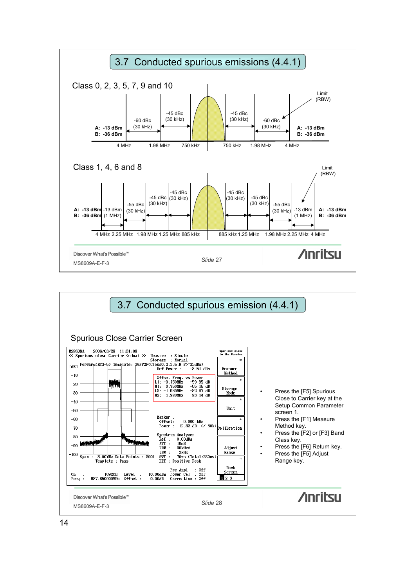

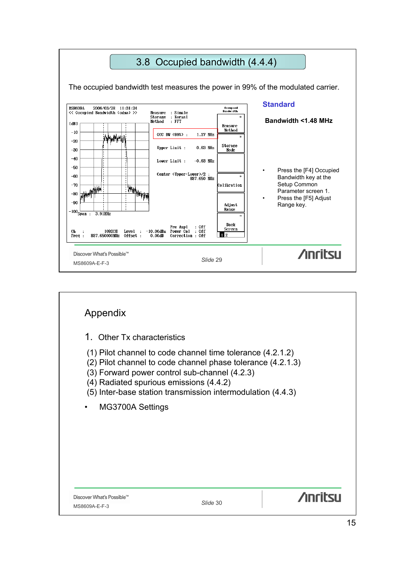

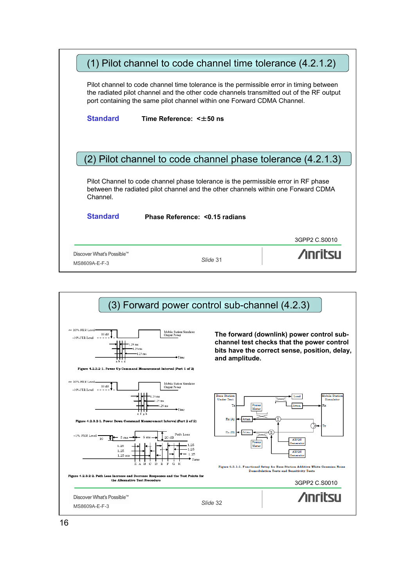|                 | (1) Pilot channel to code channel time tolerance (4.2.1.2)                                                                                                                                                                                                    |               |
|-----------------|---------------------------------------------------------------------------------------------------------------------------------------------------------------------------------------------------------------------------------------------------------------|---------------|
|                 | Pilot channel to code channel time tolerance is the permissible error in timing between<br>the radiated pilot channel and the other code channels transmitted out of the RF output<br>port containing the same pilot channel within one Forward CDMA Channel. |               |
| <b>Standard</b> | Time Reference: < ±50 ns                                                                                                                                                                                                                                      |               |
|                 |                                                                                                                                                                                                                                                               |               |
|                 |                                                                                                                                                                                                                                                               |               |
|                 | (2) Pilot channel to code channel phase tolerance (4.2.1.3)                                                                                                                                                                                                   |               |
| Channel.        | Pilot Channel to code channel phase tolerance is the permissible error in RF phase<br>between the radiated pilot channel and the other channels within one Forward CDMA                                                                                       |               |
| <b>Standard</b> | Phase Reference: < 0.15 radians                                                                                                                                                                                                                               |               |
|                 |                                                                                                                                                                                                                                                               | 3GPP2 C.S0010 |



16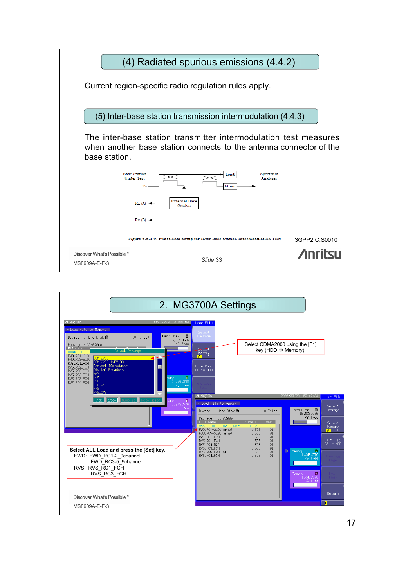

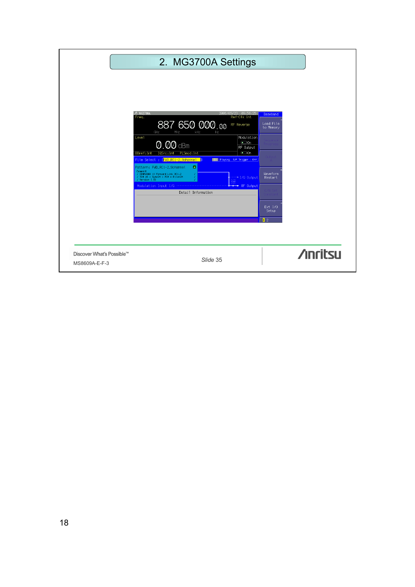|                                            | 2. MG3700A Settings                                                                                                                                                                                                                                  |                |
|--------------------------------------------|------------------------------------------------------------------------------------------------------------------------------------------------------------------------------------------------------------------------------------------------------|----------------|
|                                            | △ MG3700A<br>2006/03/23 09:56:25<br>Baseband                                                                                                                                                                                                         |                |
|                                            | Freq.<br>Ref-Clk Int<br>887 650 000.00<br>Load File<br>RF Reverse<br>to Memory<br>GHz<br>kHz<br>MHz<br>Hz<br>Modulation<br>Level                                                                                                                     |                |
|                                            | $\bullet$ On<br>$Q$ . $Q\overline{Q}$ dBm<br>RF Output<br><b>BBref:Int</b><br>IQSrc: Int<br>PLSmod: Int<br>$\bullet$ On<br>File Select : [FWD_RC1-2_9channel  ]<br><b>IIIIIII</b> Playing S/F Trigger : Off                                          |                |
|                                            | $\bullet$<br>Pattern: FWD_RC1-2_9channel<br>Comment<br>Waveform<br>/ CDMR2800 1X Forward Link RC1-2<br>/ TCH x6 + SyncCH + PCH + PilotCH<br>/ Version 1.01<br>+I/Q Output<br>Restart<br><b>CM</b><br>Modulation Input I/Q<br>$\rightarrow$ RF 0utput |                |
|                                            | Detail Information<br>Ext I/0<br>Setup                                                                                                                                                                                                               |                |
|                                            | $\mathbf{1}$ 2                                                                                                                                                                                                                                       |                |
| Discover What's Possible™<br>MS8609A-E-F-3 | Slide 35                                                                                                                                                                                                                                             | <b>Anritsu</b> |